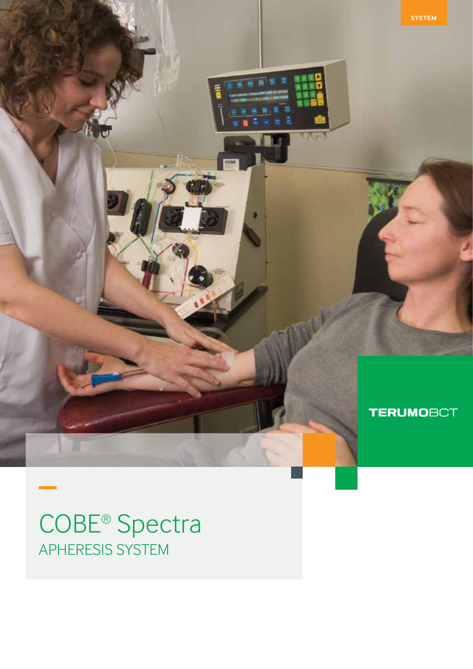

COBE® Spectra Apheresis System

# **TERUMOBCT**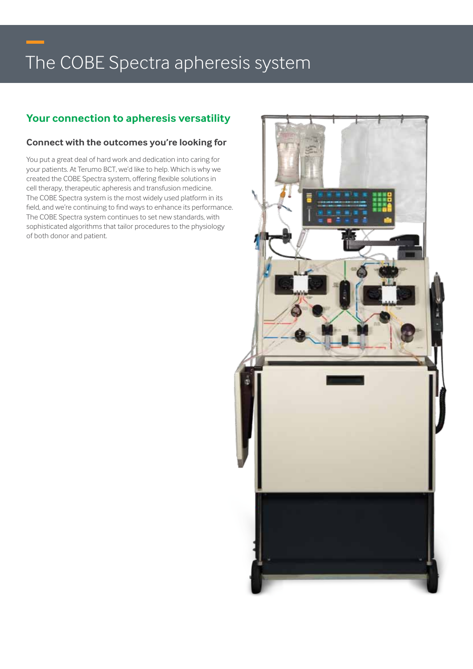# The COBE Spectra apheresis system

# **Your connection to apheresis versatility**

# **Connect with the outcomes you're looking for**

You put a great deal of hard work and dedication into caring for your patients. At Terumo BCT, we'd like to help. Which is why we created the COBE Spectra system, offering flexible solutions in cell therapy, therapeutic apheresis and transfusion medicine. The COBE Spectra system is the most widely used platform in its field, and we're continuing to find ways to enhance its performance. The COBE Spectra system continues to set new standards, with sophisticated algorithms that tailor procedures to the physiology of both donor and patient.

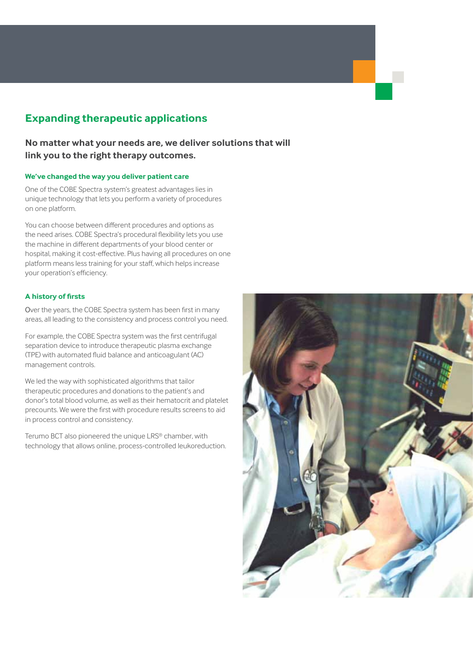# **Expanding therapeutic applications**

**No matter what your needs are, we deliver solutions that will link you to the right therapy outcomes.** 

#### **We've changed the way you deliver patient care**

One of the COBE Spectra system's greatest advantages lies in unique technology that lets you perform a variety of procedures on one platform.

You can choose between different procedures and options as the need arises. COBE Spectra's procedural flexibility lets you use the machine in different departments of your blood center or hospital, making it cost-effective. Plus having all procedures on one platform means less training for your staff, which helps increase your operation's efficiency.

#### **A history of firsts**

Over the years, the COBE Spectra system has been first in many areas, all leading to the consistency and process control you need.

For example, the COBE Spectra system was the first centrifugal separation device to introduce therapeutic plasma exchange (TPE) with automated fluid balance and anticoagulant (AC) management controls.

We led the way with sophisticated algorithms that tailor therapeutic procedures and donations to the patient's and donor's total blood volume, as well as their hematocrit and platelet precounts. We were the first with procedure results screens to aid in process control and consistency.

Terumo BCT also pioneered the unique LRS® chamber, with technology that allows online, process-controlled leukoreduction.

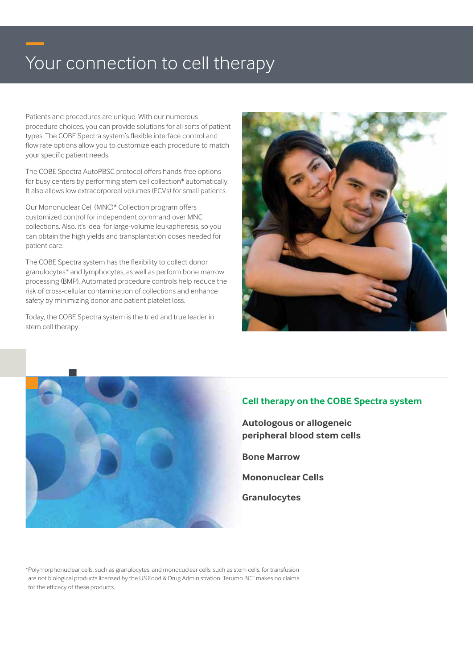# Your connection to cell therapy

Patients and procedures are unique. With our numerous procedure choices, you can provide solutions for all sorts of patient types. The COBE Spectra system's flexible interface control and flow rate options allow you to customize each procedure to match your specific patient needs.

The COBE Spectra AutoPBSC protocol offers hands-free options for busy centers by performing stem cell collection\* automatically. It also allows low extracorporeal volumes (ECVs) for small patients.

Our Mononuclear Cell (MNC)\* Collection program offers customized control for independent command over MNC collections. Also, it's ideal for large-volume leukapheresis, so you can obtain the high yields and transplantation doses needed for patient care.

The COBE Spectra system has the flexibility to collect donor granulocytes\* and lymphocytes, as well as perform bone marrow processing (BMP). Automated procedure controls help reduce the risk of cross-cellular contamination of collections and enhance safety by minimizing donor and patient platelet loss.

Today, the COBE Spectra system is the tried and true leader in stem cell therapy.





**Autologous or allogeneic peripheral blood stem cells**

**Bone Marrow**

**Mononuclear Cells**

**Granulocytes**

\* Polymorphonuclear cells, such as granulocytes, and monocuclear cells, such as stem cells, for transfusion are not biological products licensed by the US Food & Drug Administration. Terumo BCT makes no claims for the efficacy of these products.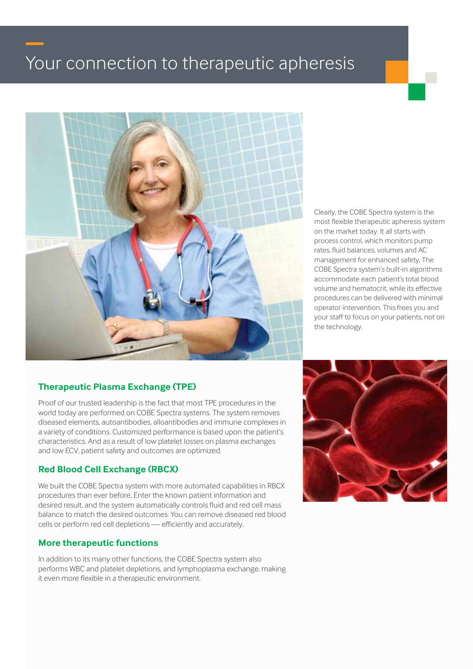# Your connection to therapeutic apheresis



### **Therapeutic Plasma Exchange (TPE)**

Proof of our trusted leadership is the fact that most TPE procedures in the world today are performed on COBE Spectra systems. The system removes diseased elements, autoantibodies, alloantibodies and immune complexes in a variety of conditions. Customized performance is based upon the patient's characteristics. And as a result of low platelet losses on plasma exchanges and low ECV, patient safety and outcomes are optimized.

### **Red Blood Cell Exchange (RBCX)**

We built the COBE Spectra system with more automated capabilities in RBCX procedures than ever before. Enter the known patient information and desired result, and the system automatically controls fluid and red cell mass balance to match the desired outcomes. You can remove diseased red blood cells or perform red cell depletions — efficiently and accurately.

### **More therapeutic functions**

In addition to its many other functions, the COBE Spectra system also performs WBC and platelet depletions, and lymphoplasma exchange, making it even more flexible in a therapeutic environment.

Clearly, the COBE Spectra system is the most flexible therapeutic apheresis system on the market today. It all starts with process control, which monitors pump rates, fluid balances, volumes and AC management for enhanced safety. The COBE Spectra system's built-in algorithms accommodate each patient's total blood volume and hematocrit, while its effective procedures can be delivered with minimal operator intervention. This frees you and your staff to focus on your patients, not on the technology.

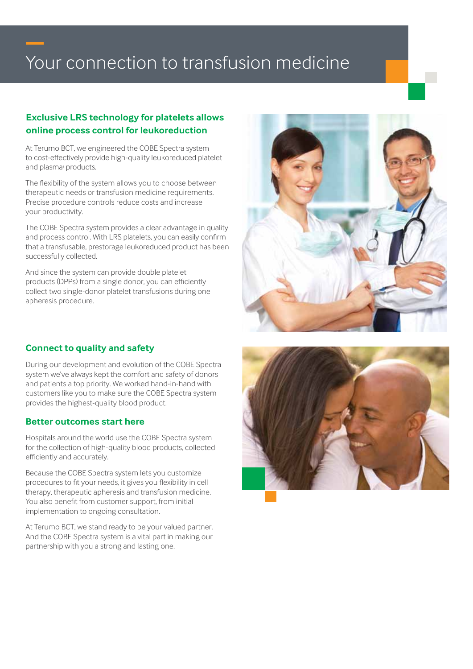# Your connection to transfusion medicine

# **Exclusive LRS technology for platelets allows online process control for leukoreduction**

At Terumo BCT, we engineered the COBE Spectra system to cost-effectively provide high-quality leukoreduced platelet and plasma<sup>+</sup> products.

The flexibility of the system allows you to choose between therapeutic needs or transfusion medicine requirements. Precise procedure controls reduce costs and increase your productivity.

The COBE Spectra system provides a clear advantage in quality and process control. With LRS platelets, you can easily confirm that a transfusable, prestorage leukoreduced product has been successfully collected.

And since the system can provide double platelet products (DPPs) from a single donor, you can efficiently collect two single-donor platelet transfusions during one apheresis procedure.

### **Connect to quality and safety**

During our development and evolution of the COBE Spectra system we've always kept the comfort and safety of donors and patients a top priority. We worked hand-in-hand with customers like you to make sure the COBE Spectra system provides the highest-quality blood product.

### **Better outcomes start here**

Hospitals around the world use the COBE Spectra system for the collection of high-quality blood products, collected efficiently and accurately.

Because the COBE Spectra system lets you customize procedures to fit your needs, it gives you flexibility in cell therapy, therapeutic apheresis and transfusion medicine. You also benefit from customer support, from initial implementation to ongoing consultation.

At Terumo BCT, we stand ready to be your valued partner. And the COBE Spectra system is a vital part in making our partnership with you a strong and lasting one.



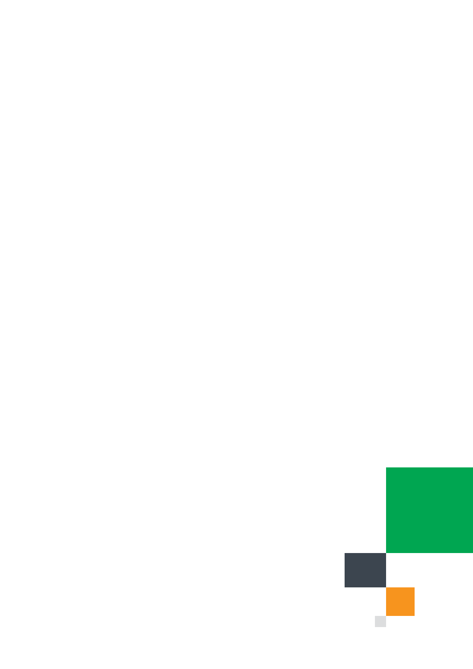F